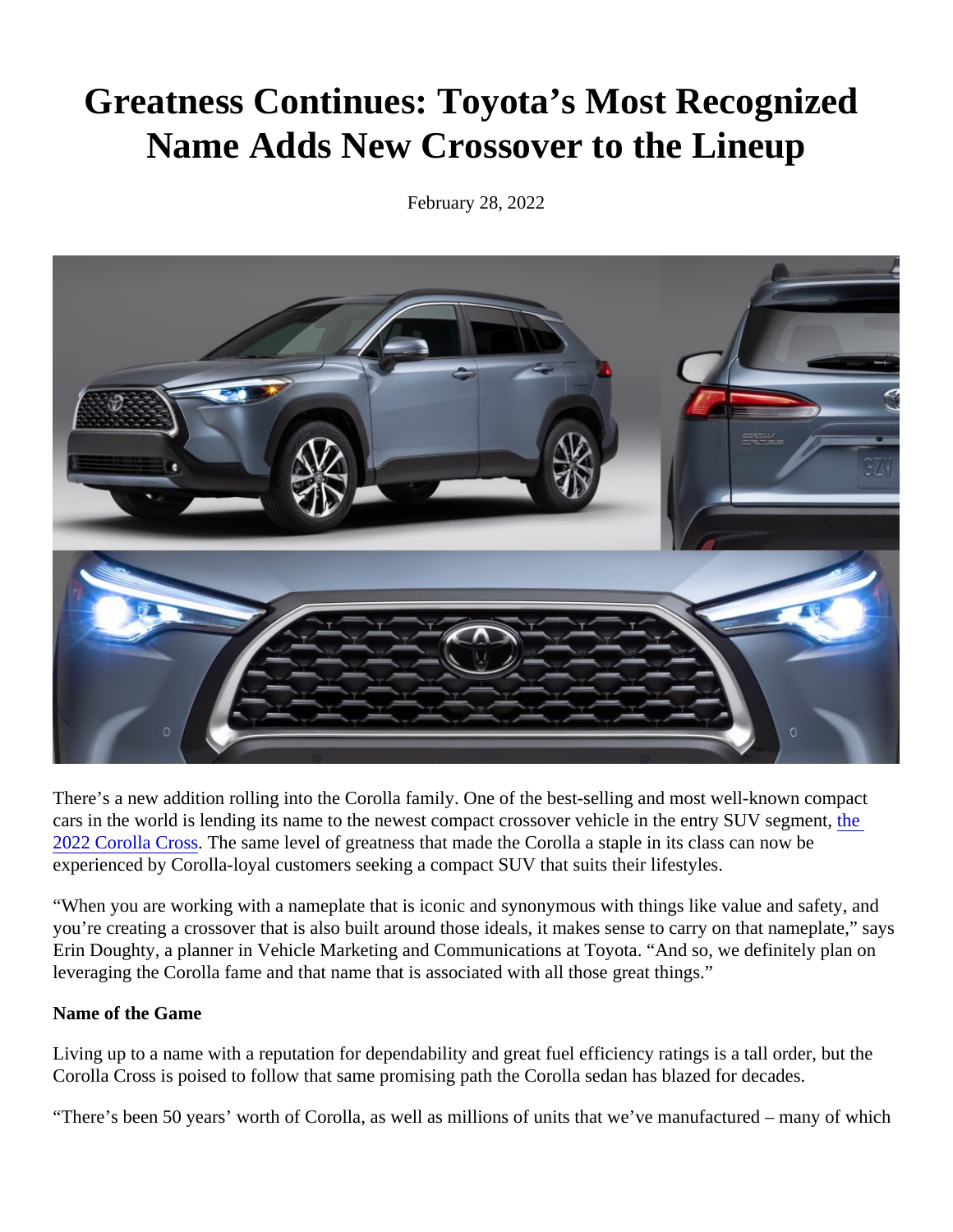## Greatness Continues: Toyota's Most Recognized Name Adds New Crossover to the Lineup

February 28, 2022

There's a new addition rolling into the Corolla family. One of the best-selling and most well-known compact cars in [the](https://pressroom.toyota.com/toyota-corolla-cross-all-new-body-style-adds-utility-fun/) world is lending its name to the newest compact crossover vehicle in the entry SUV steepment, [2022 Corolla Cros](https://pressroom.toyota.com/toyota-corolla-cross-all-new-body-style-adds-utility-fun/)sThe same level of greatness that made the Corolla a staple in its class can now be experienced by Corolla-loyal customers seeking a compact SUV that suits their lifestyles.

"When you are working with a nameplate that is iconic and synonymous with things like value and safety, and you're creating a crossover that is also built around those ideals, it makes sense to carry on that nameplate," Erin Doughty, a planner in Vehicle Marketing and Communications at Toyota. "And so, we definitely plan on leveraging the Corolla fame and that name that is associated with all those great things."

Name of the Game

Living up to a name with a reputation for dependability and great fuel efficiency ratings is a tall order, but the Corolla Cross is poised to follow that same promising path the Corolla sedan has blazed for decades.

"There's been 50 years' worth of Corolla, as well as millions of units that we've manufactured – many of which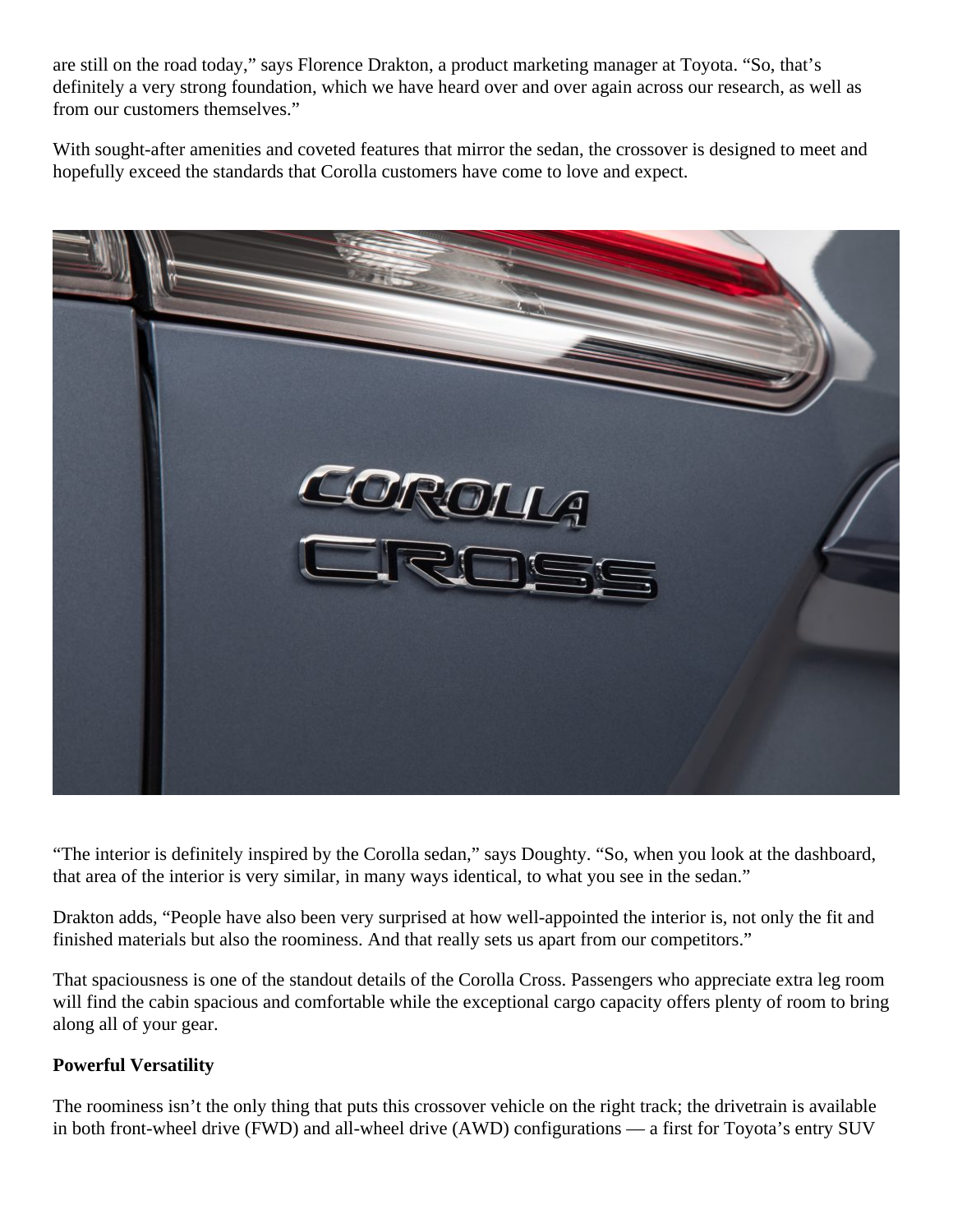are still on the road today," says Florence Drakton, a product marketing manager at Toyota. "So, that's definitely a very strong foundation, which we have heard over and over again across our research, as well as from our customers themselves."

With sought-after amenities and coveted features that mirror the sedan, the crossover is designed to meet and hopefully exceed the standards that Corolla customers have come to love and expect.



"The interior is definitely inspired by the Corolla sedan," says Doughty. "So, when you look at the dashboard, that area of the interior is very similar, in many ways identical, to what you see in the sedan."

Drakton adds, "People have also been very surprised at how well-appointed the interior is, not only the fit and finished materials but also the roominess. And that really sets us apart from our competitors."

That spaciousness is one of the standout details of the Corolla Cross. Passengers who appreciate extra leg room will find the cabin spacious and comfortable while the exceptional cargo capacity offers plenty of room to bring along all of your gear.

## **Powerful Versatility**

The roominess isn't the only thing that puts this crossover vehicle on the right track; the drivetrain is available in both front-wheel drive (FWD) and all-wheel drive (AWD) configurations — a first for Toyota's entry SUV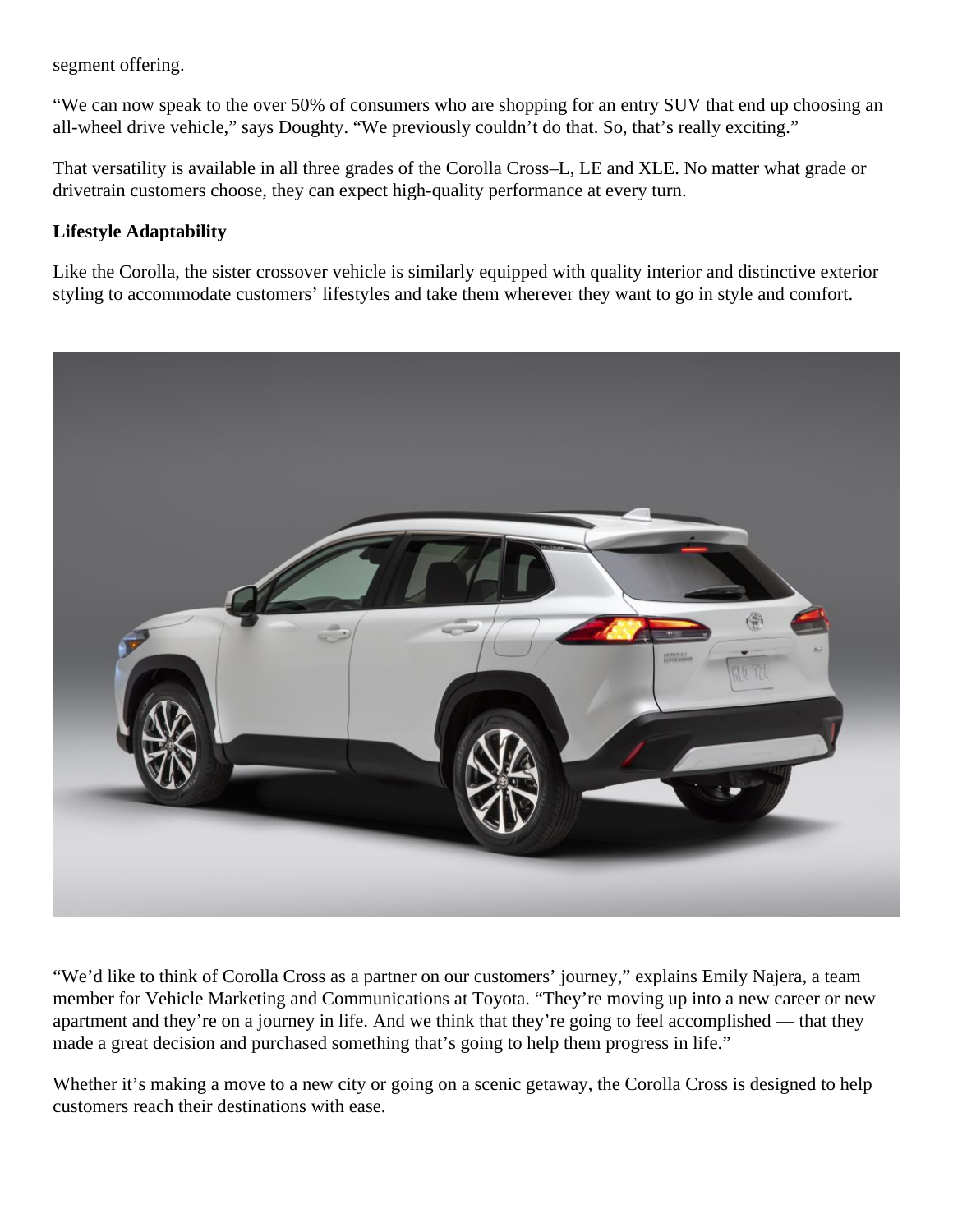segment offering.

"We can now speak to the over 50% of consumers who are shopping for an entry SUV that end up choosing an all-wheel drive vehicle," says Doughty. "We previously couldn't do that. So, that's really exciting."

That versatility is available in all three grades of the Corolla Cross–L, LE and XLE. No matter what grade or drivetrain customers choose, they can expect high-quality performance at every turn.

## **Lifestyle Adaptability**

Like the Corolla, the sister crossover vehicle is similarly equipped with quality interior and distinctive exterior styling to accommodate customers' lifestyles and take them wherever they want to go in style and comfort.



"We'd like to think of Corolla Cross as a partner on our customers' journey," explains Emily Najera, a team member for Vehicle Marketing and Communications at Toyota. "They're moving up into a new career or new apartment and they're on a journey in life. And we think that they're going to feel accomplished — that they made a great decision and purchased something that's going to help them progress in life."

Whether it's making a move to a new city or going on a scenic getaway, the Corolla Cross is designed to help customers reach their destinations with ease.